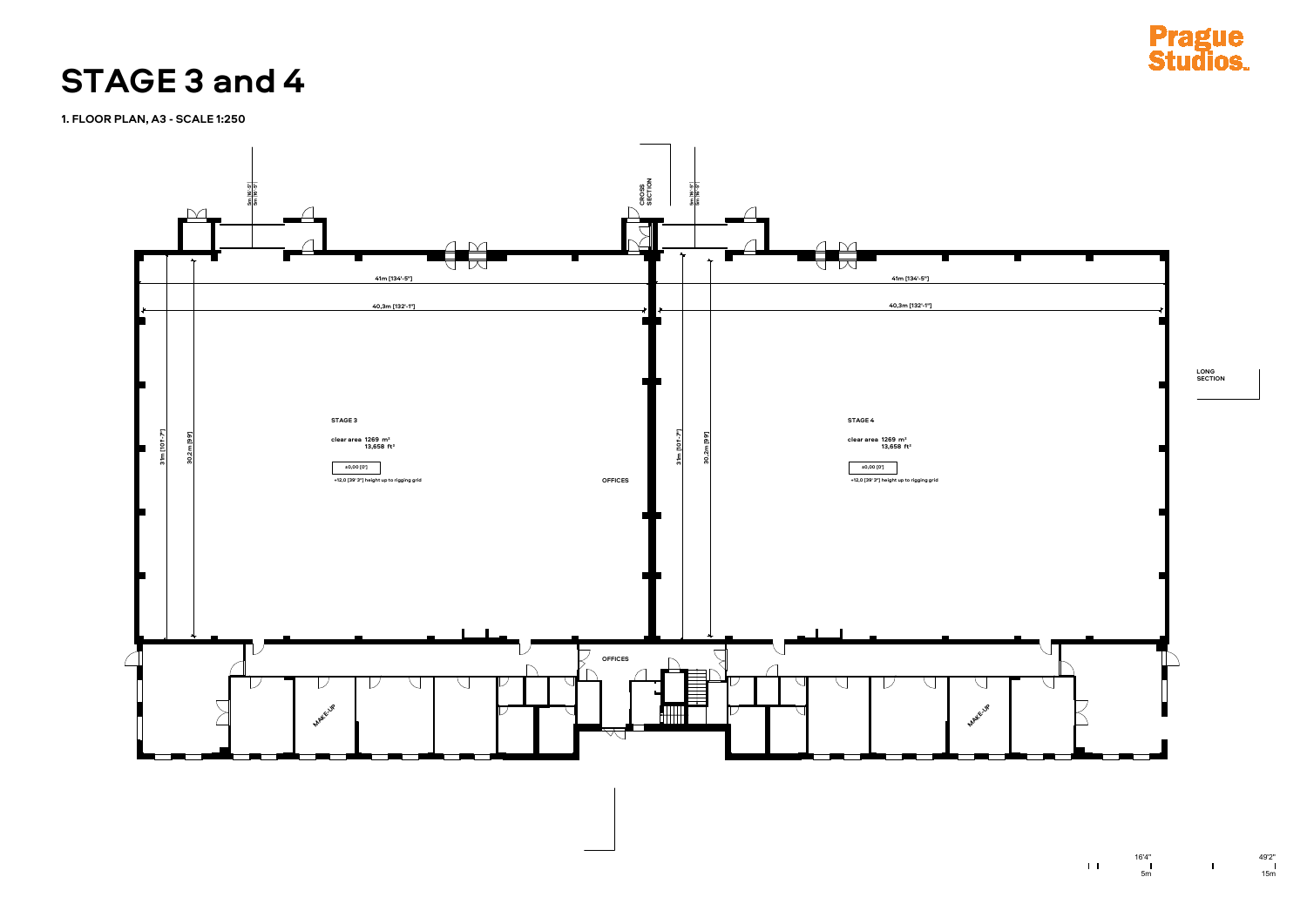

![](_page_0_Picture_3.jpeg)

 $1\,$  L

 $\begin{array}{c}\n16'4'' \\
\phantom{0}1 \\
\phantom{0}5m\n\end{array}$ 

**1. FLOOR PLAN, A3 - SCALE 1:250**

## **STAGE 3 and 4**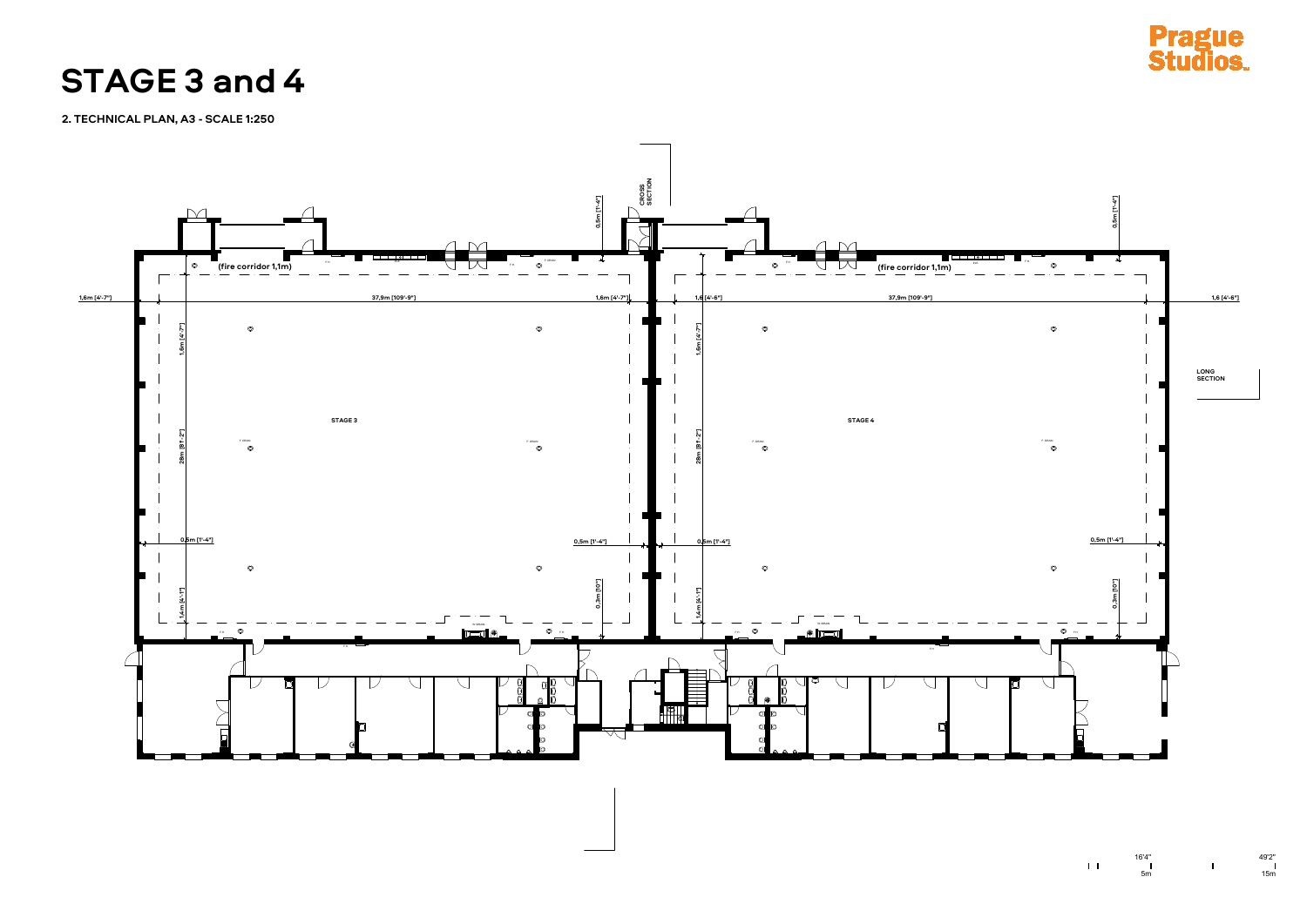![](_page_1_Figure_2.jpeg)

![](_page_1_Picture_3.jpeg)

 $\begin{array}{c}\n16'4'' \\
\phantom{0}1 \\
\phantom{0}5m\n\end{array}$ 

**2. TECHNICAL PLAN, A3 - SCALE 1:250**

**STAGE 3 and 4**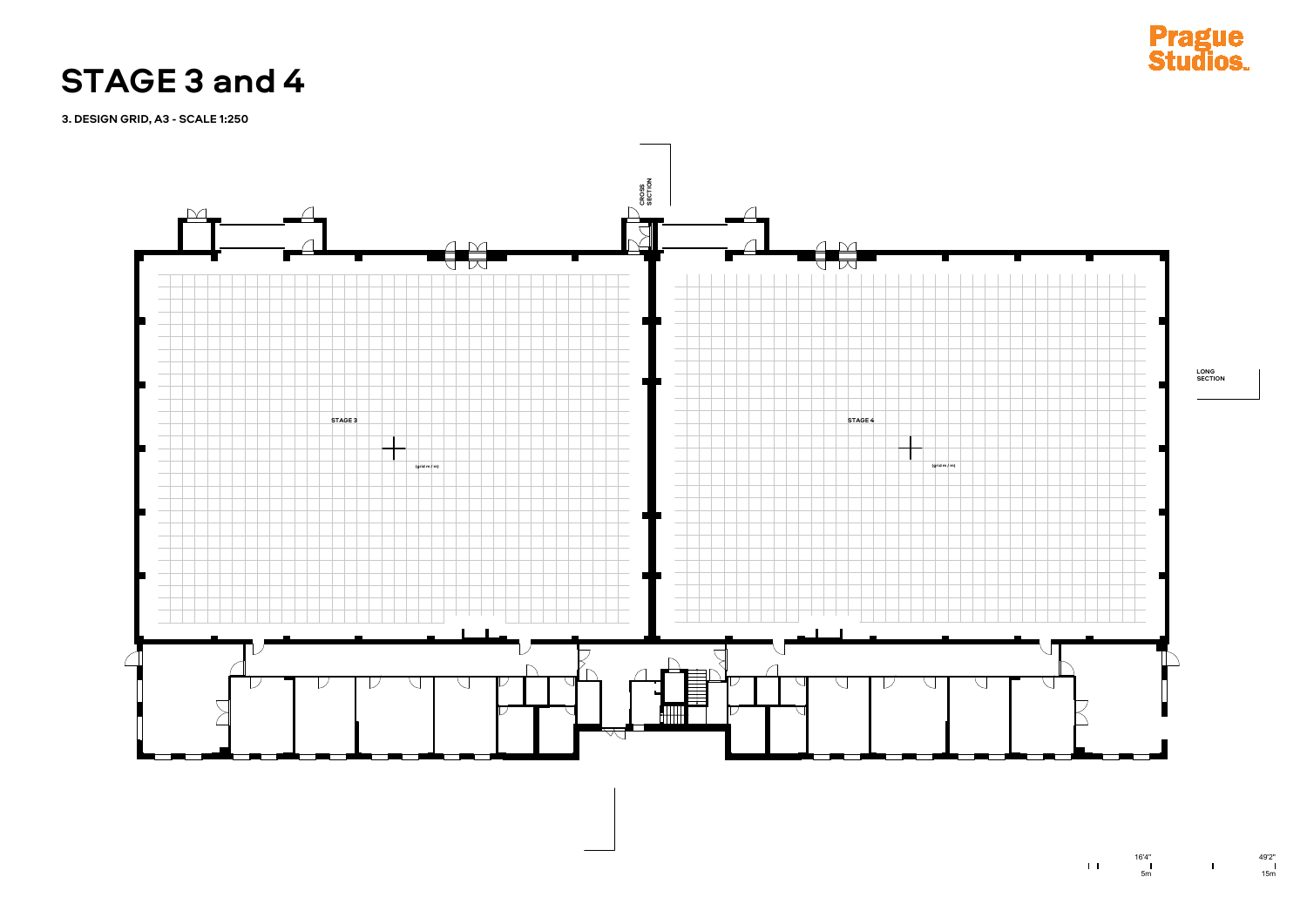![](_page_2_Figure_2.jpeg)

![](_page_2_Picture_3.jpeg)

 $\bar{1},\bar{1}$ 

**3. DESIGN GRID, A3 - SCALE 1:250**

**STAGE 3 and 4**